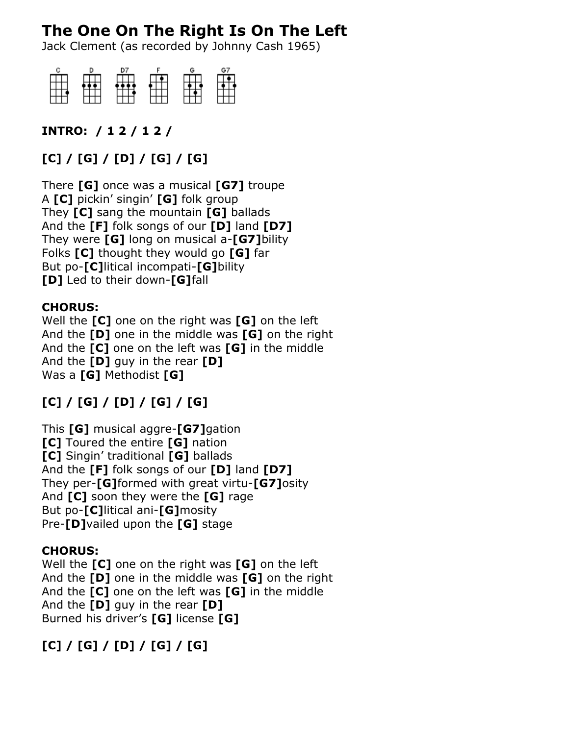# **The One On The Right Is On The Left**

Jack Clement (as recorded by Johnny Cash 1965)



### **INTRO: / 1 2 / 1 2 /**

## **[C] / [G] / [D] / [G] / [G]**

There **[G]** once was a musical **[G7]** troupe A **[C]** pickin' singin' **[G]** folk group They **[C]** sang the mountain **[G]** ballads And the **[F]** folk songs of our **[D]** land **[D7]** They were **[G]** long on musical a-**[G7]**bility Folks **[C]** thought they would go **[G]** far But po-**[C]**litical incompati-**[G]**bility **[D]** Led to their down-**[G]**fall

#### **CHORUS:**

Well the **[C]** one on the right was **[G]** on the left And the **[D]** one in the middle was **[G]** on the right And the **[C]** one on the left was **[G]** in the middle And the **[D]** guy in the rear **[D]** Was a **[G]** Methodist **[G]**

## **[C] / [G] / [D] / [G] / [G]**

This **[G]** musical aggre-**[G7]**gation **[C]** Toured the entire **[G]** nation **[C]** Singin' traditional **[G]** ballads And the **[F]** folk songs of our **[D]** land **[D7]** They per-**[G]**formed with great virtu-**[G7]**osity And **[C]** soon they were the **[G]** rage But po-**[C]**litical ani-**[G]**mosity Pre-**[D]**vailed upon the **[G]** stage

#### **CHORUS:**

Well the **[C]** one on the right was **[G]** on the left And the **[D]** one in the middle was **[G]** on the right And the **[C]** one on the left was **[G]** in the middle And the **[D]** guy in the rear **[D]** Burned his driver's **[G]** license **[G]**

## **[C] / [G] / [D] / [G] / [G]**